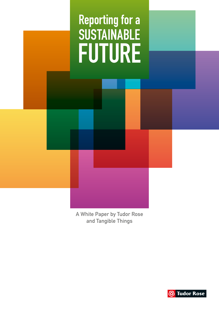

A White Paper by Tudor Rose and Tangible Things

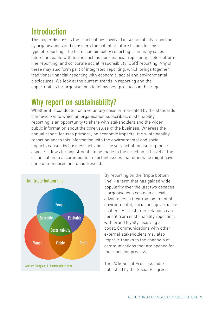## **Introduction**

This paper discusses the practicalities involved in sustainability reporting by organisations and considers the potential future trends for this type of reporting. The term 'sustainability reporting' is in many cases interchangeable with terms such as non-financial reporting; triple-bottomline reporting; and corporate social responsibility (CSR) reporting. Any of these may also form part of integrated reporting, which brings together traditional financial reporting with economic, social and environmental disclosures. We look at the current trends in reporting and the opportunities for organisations to follow best practices in this regard.

### **Why report on sustainability?**

Whether it is conducted on a voluntary basis or mandated by the standards framework/s to which an organisation subscribes, sustainability reporting is an opportunity to share with stakeholders and the wider public information about the core values of the business. Whereas the annual report focuses primarily on economic impacts, the sustainability report balances this information with the environmental and social impacts caused by business activities. The very act of measuring these aspects allows for adjustments to be made to the direction of travel of the organisation to accommodate important issues that otherwise might have gone unmonitored and unaddressed.



By reporting on the 'triple bottom line' – a term that has gained wide popularity over the last two decades – organisations can gain crucial advantages in their management of environmental, social and governance challenges. Customer relations can benefit from sustainability reporting, with brand loyalty receiving a boost. Communications with other external stakeholders may also improve thanks to the channels of communications that are opened for the reporting process.

The 2016 Social Progress Index, published by the Social Progress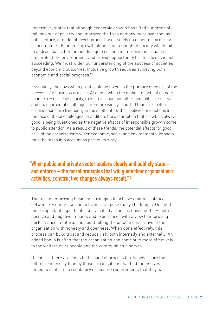Imperative, states that although economic growth has lifted hundreds of millions out of poverty and improved the lives of many more over the last half-century, a model of development based solely on economic progress is incomplete. "Economic growth alone is not enough. A society which fails to address basic human needs, equip citizens to improve their quality of life, protect the environment, and provide opportunity for its citizens is not succeeding. We must widen our understanding of the success of societies beyond economic outcomes. Inclusive growth requires achieving both economic and social progress."1

Essentially, the days when profit could be taken as the primary measure of the success of a business are over. At a time when the global impacts of climate change, resource insecurity, mass migration and other geopolitical, societal and environmental challenges are more widely reported than ever before, organisations are frequently in the spotlight for their policies and actions in the face of these challenges. In addition, the assumption that growth is always good is being questioned as the negative effects of irresponsible growth come to public attention. As a result of these trends, the potential effects for good or ill of the organisation's wider economic, social and environmental impacts must be taken into account as part of its story.

**"When public and private sector leaders clearly and publicly state – and enforce – the moral principles that will guide their organisation's activities, constructive changes always result." 2**

The task of improving business strategies to achieve a better balance between resource use and activities can pose many challenges. One of the most important aspects of a sustainability report is how it outlines both positive and negative impacts and experiences with a view to improving performance in future. It is about telling the unfolding narrative of the organisation with honesty and openness. When done effectively, this process can build trust and reduce risk, both internally and externally. An added bonus is often that the organisation can contribute more effectively to the welfare of its people and the communities it serves.

Of course, there are costs to this kind of process too. Nowhere are these felt more intensely than by those organisations that find themselves forced to conform to regulatory disclosure requirements that they had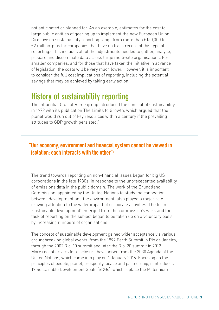not anticipated or planned for. As an example, estimates for the cost to large public entities of gearing up to implement the new European Union Directive on sustainability reporting range from more than £150,000 to £2 million-plus for companies that have no track record of this type of reporting.3 This includes all of the adjustments needed to gather, analyse, prepare and disseminate data across large multi-site organisations. For smaller companies, and for those that have taken the initiative in advance of legislation, the costs will be very much lower. However, it is important to consider the full cost implications of reporting, including the potential savings that may be achieved by taking early action.

#### **History of sustainability reporting**

The influential Club of Rome group introduced the concept of sustainability in 1972 with its publication The Limits to Growth, which argued that the planet would run out of key resources within a century if the prevailing attitudes to GDP growth persisted.<sup>4</sup>

"Our economy, environment and financial system cannot be viewed in **isolation: each interacts with the other"5**

The trend towards reporting on non-financial issues began for big US corporations in the late 1980s, in response to the unprecedented availability of emissions data in the public domain. The work of the Brundtland Commission, appointed by the United Nations to study the connection between development and the environment, also played a major role in drawing attention to the wider impact of corporate activities. The term 'sustainable development' emerged from the commission's work and the task of reporting on the subject began to be taken up on a voluntary basis by increasing numbers of organisations.

The concept of sustainable development gained wider acceptance via various groundbreaking global events, from the 1992 Earth Summit in Rio de Janeiro, through the 2002 Rio+10 summit and later the Rio+20 summit in 2012. More recent drivers for disclosure have arisen from the 2030 Agenda of the United Nations, which came into play on 1 January 2016. Focusing on the principles of people, planet, prosperity, peace and partnership, it introduces 17 Sustainable Development Goals (SDGs), which replace the Millennium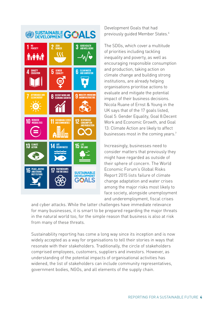

Development Goals that had previously quided Member States.<sup>6</sup>

The SDGs, which cover a multitude of priorities including tackling inequality and poverty, as well as encouraging responsible consumption and production, taking action on climate change and building strong institutions, are already helping organisations prioritise actions to evaluate and mitigate the potential impact of their business decisions. Nicola Ruane of Ernst & Young in the UK says that of the 17 goals listed, Goal 5: Gender Equality, Goal 8:Decent Work and Economic Growth, and Goal 13: Climate Action are likely to affect businesses most in the coming years.<sup>7</sup>

Increasingly, businesses need to consider matters that previously they might have regarded as outside of their sphere of concern. The World Economic Forum's Global Risks Report 2015 lists failure of climate change adaptation and water crises among the major risks most likely to face society, alongside unemployment and underemployment, fiscal crises

and cyber attacks. While the latter challenges have immediate relevance for many businesses, it is smart to be prepared regarding the major threats in the natural world too, for the simple reason that business is also at risk from many of these threats.

Sustainability reporting has come a long way since its inception and is now widely accepted as a way for organisations to tell their stories in ways that resonate with their stakeholders. Traditionally, the circle of stakeholders comprised employees, customers, suppliers and investors. However, as understanding of the potential impacts of organisational activities has widened, the list of stakeholders can include community representatives, government bodies, NGOs, and all elements of the supply chain.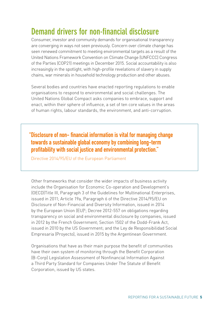### **Demand drivers for non-financial disclosure**

Consumer, investor and community demands for organisational transparency are converging in ways not seen previously. Concern over climate change has seen renewed commitment to meeting environmental targets as a result of the United Nations Framework Convention on Climate Change (UNFCCC) Congress of the Parties (COP21) meetings in December 2015. Social accountability is also increasingly in the spotlight, with high-profile revelations of slavery in supply chains, war minerals in household technology production and other abuses.

Several bodies and countries have enacted reporting regulations to enable organisations to respond to environmental and social challenges. The United Nations Global Compact asks companies to embrace, support and enact, within their sphere of influence, a set of ten core values in the areas of human rights, labour standards, the environment, and anti-corruption.

**"Disclosure ofnon- financial informationis vital for managingchange towards a sustainable global economy by combining long-term profitability** with social justice and environmental protection."

Directive 2014/95/EU of the European Parliament

Other frameworks that consider the wider impacts of business activity include the Organisation for Economic Co-operation and Development's (OECD)Title III, Paragraph 3 of the Guidelines for Multinational Enterprises, issued in 2011; Article 19a, Paragraph 6 of the Directive 2014/95/EU on Disclosure of Non-Financial and Diversity Information, issued in 2014 by the European Union (EU)<sup>8</sup>; Decree 2012-557 on obligations regarding transparency on social and environmental disclosure by companies, issued in 2012 by the French Government; Section 1502 of the Dodd-Frank Act, issued in 2010 by the US Government; and the Ley de Responsibilidad Social Empresaria (Proyecto), issued in 2015 by the Argentinean Government.

Organisations that have as their main purpose the benefit of communities have their own system of monitoring through the Benefit Corporation (B-Corp) Legislation Assessment of Nonfinancial Information Against a Third Party Standard for Companies Under The Statute of Benefit Corporation, issued by US states.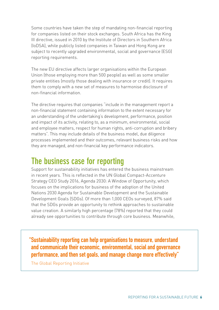Some countries have taken the step of mandating non-financial reporting for companies listed on their stock exchanges. South Africa has the King III directive, issued in 2010 by the Institute of Directors in Southern Africa (IoDSA), while publicly listed companies in Taiwan and Hong Kong are subject to recently upgraded environmental, social and governance (ESG) reporting requirements.

The new EU directive affects larger organisations within the European Union (those employing more than 500 people) as well as some smaller private entities (mostly those dealing with insurance or credit). It requires them to comply with a new set of measures to harmonise disclosure of non-financial information.

The directive requires that companies "include in the management report a non-financial statement containing information to the extent necessary for an understanding of the undertaking's development, performance, position and impact of its activity, relating to, as a minimum, environmental, social and employee matters, respect for human rights, anti-corruption and bribery matters". This may include details of the business model, due diligence processes implemented and their outcomes, relevant business risks and how they are managed, and non-financial key performance indicators.

#### **The business case for reporting**

Support for sustainability initiatives has entered the business mainstream in recent years. This is reflected in the UN Global Compact-Accenture Strategy CEO Study 2016, Agenda 2030: A Window of Opportunity, which focuses on the implications for business of the adoption of the United Nations 2030 Agenda for Sustainable Development and the Sustainable Development Goals (SDGs). Of more than 1,000 CEOs surveyed, 87% said that the SDGs provide an opportunity to rethink approaches to sustainable value creation. A similarly high percentage (78%) reported that they could already see opportunities to contribute through core business. Meanwhile,

**"Sustainability reporting can help organisations to measure, understand and communicate their economic, environmental, social and governance performance, and then set goals, and manage change more effectively"**

The Global Reporting Initiative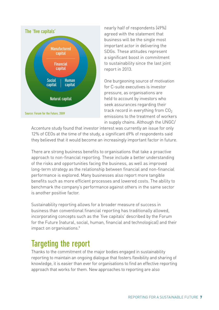

nearly half of respondents (49%) agreed with the statement that business will be the single most important actor in delivering the SDGs. These attitudes represent a significant boost in commitment to sustainability since the last joint report in 2013.

One burgeoning source of motivation for C-suite executives is investor pressure, as organisations are held to account by investors who seek assurances regarding their track record in everything from  $CO<sub>2</sub>$ emissions to the treatment of workers in supply chains. Although the UNGC/

Accenture study found that investor interest was currently an issue for only 12% of CEOs at the time of the study, a significant 69% of respondents said they believed that it would become an increasingly important factor in future.

There are strong business benefits to organisations that take a proactive approach to non-financial reporting. These include a better understanding of the risks and opportunities facing the business, as well as improved long-term strategy as the relationship between financial and non-financial performance is explored. Many businesses also report more tangible benefits such as more efficient processes and lowered costs. The ability to benchmark the company's performance against others in the same sector is another positive factor.

Sustainability reporting allows for a broader measure of success in business than conventional financial reporting has traditionally allowed, incorporating concepts such as the 'five capitals' described by the Forum for the Future (natural, social, human, financial and technological) and their impact on organisations.<sup>9</sup>

## **Targeting the report**

Thanks to the commitment of the major bodies engaged in sustainability reporting to maintain an ongoing dialogue that fosters flexibility and sharing of knowledge, it is easier than ever for organisations to find an effective reporting approach that works for them. New approaches to reporting are also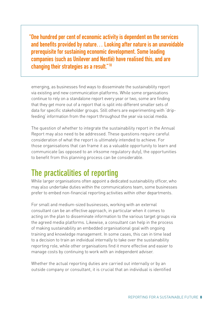**"One hundred per cent of economic activity is dependent on the services and benefits provided by nature... Looking after nature is an unavoidable prerequisite for sustaining economic development. Some leading companies (such as Unilever and Nestlé) have realised this, and are changing their strategies as a result."10**

emerging, as businesses find ways to disseminate the sustainability report via existing and new communication platforms. While some organisations continue to rely on a standalone report every year or two, some are finding that they get more out of a report that is split into different smaller sets of data for specific stakeholder groups. Still others are experimenting with 'dripfeeding' information from the report throughout the year via social media.

The question of whether to integrate the sustainability report in the Annual Report may also need to be addressed. These questions require careful consideration of what the report is ultimately intended to achieve. For those organisations that can frame it as a valuable opportunity to learn and communicate (as opposed to an irksome regulatory duty), the opportunities to benefit from this planning process can be considerable.

### **The practicalities of reporting**

While larger organisations often appoint a dedicated sustainability officer, who may also undertake duties within the communications team, some businesses prefer to embed non-financial reporting activities within other departments.

For small and medium-sized businesses, working with an external consultant can be an effective approach, in particular when it comes to acting on the plan to disseminate information to the various target groups via the agreed media platforms. Likewise, a consultant can help in the process of making sustainability an embedded organisational goal with ongoing training and knowledge management. In some cases, this can in time lead to a decision to train an individual internally to take over the sustainability reporting role, while other organisations find it more effective and easier to manage costs by continuing to work with an independent adviser.

Whether the actual reporting duties are carried out internally or by an outside company or consultant, it is crucial that an individual is identified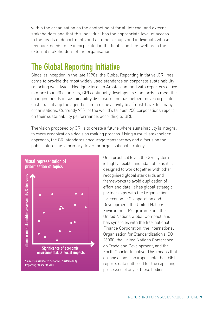within the organisation as the contact point for all internal and external stakeholders and that this individual has the appropriate level of access to the heads of departments and all other groups and individuals whose feedback needs to be incorporated in the final report, as well as to the external stakeholders of the organisation.

### **The Global Reporting Initiative**

Since its inception in the late 1990s, the Global Reporting Initiative (GRI) has come to provide the most widely used standards on corporate sustainability reporting worldwide. Headquartered in Amsterdam and with reporters active in more than 90 countries, GRI continually develops its standards to meet the changing needs in sustainability disclosure and has helped move corporate sustainability up the agenda from a niche activity to a 'must-have' for many organisations. Currently 93% of the world's largest 250 corporations report on their sustainability performance, according to GRI.

The vision proposed by GRI is to create a future where sustainability is integral to every organization's decision making process. Using a multi-stakeholder approach, the GRI standards encourage transparency and a focus on the public interest as a primary driver for organisational strategy.



**Source: Consolidated Set of GRI Sustainability Reporting Standards 2016**

On a practical level, the GRI system is highly flexible and adaptable as it is designed to work together with other recognised global standards and frameworks to avoid duplication of effort and data. It has global strategic partnerships with the Organisation for Economic Co-operation and Development, the United Nations Environment Programme and the United Nations Global Compact, and has synergies with the International Finance Corporation, the International Organization for Standardization's ISO 26000, the United Nations Conference on Trade and Development, and the Earth Charter Initiative. This means that organisations can import into their GRI reports data gathered for the reporting processes of any of these bodies.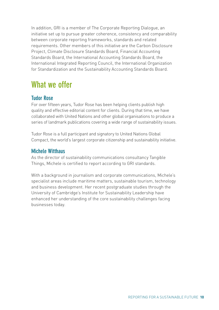In addition, GRI is a member of The Corporate Reporting Dialogue, an initiative set up to pursue greater coherence, consistency and comparability between corporate reporting frameworks, standards and related requirements. Other members of this initiative are the Carbon Disclosure Project, Climate Disclosure Standards Board, Financial Accounting Standards Board, the International Accounting Standards Board, the International Integrated Reporting Council, the International Organization for Standardization and the Sustainability Accounting Standards Board.

# **What we offer**

#### **Tudor Rose**

For over fifteen years, Tudor Rose has been helping clients publish high quality and effective editorial content for clients. During that time, we have collaborated with United Nations and other global organisations to produce a series of landmark publications covering a wide range of sustainability issues.

Tudor Rose is a full participant and signatory to United Nations Global Compact, the world's largest corporate citizenship and sustainability initiative.

#### **Michele Witthaus**

As the director of sustainability communications consultancy Tangible Things, Michele is certified to report according to GRI standards.

With a background in journalism and corporate communications, Michele's specialist areas include maritime matters, sustainable tourism, technology and business development. Her recent postgraduate studies through the University of Cambridge's Institute for Sustainability Leadership have enhanced her understanding of the core sustainability challenges facing businesses today.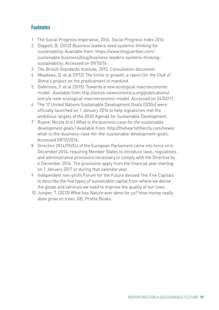#### **Footnotes**

- 1 The Social Progress Imperative, 2016. Social Progress Index 2016.
- 2 Doppelt, B. (2012) Business leaders need systemic thinking for sustainability. Available from: https://www.theguardian.com/ [sustainable-business/blog/business-leaders-systems-thinking](https://www.theguardian.com/sustainable-business/blog/business-leaders-systems-thinking-sustainability)sustainability. Accessed on 09/10/16.
- 3 The British Standards Institute, 2015. Consultation document.
- 4 Meadows, D. et al (1972) The limits to growth: a report for the Club of Rome's project on the predicament of mankind.
- 5 Dafermos, Y. et al (2015) 'Towards a new ecological macroeconomic [model.' Available from http://action.neweconomics.org/publications/](http://action.neweconomics.org/publications/entry/a-new-ecological-macroeconomic-model) entry/a-new-ecological-macroeconomic-model. Accessed on 24/02/17.
- 6 The 17 United Nations Sustainable Development Goals (SDGs) were officially launched on 1 January 2016 to help signatories met the ambitious targets of the 2030 Agenda for Sustainable Development.
- 7 Ruane, Nicola (n.d.) What is the business case for the sustainable development goals? Available from: http://theheartofthecity.com/news/ [what-is-the-business-case-for-the-sustainable-development-goals.](http://theheartofthecity.com/news/what-is-the-business-case-for-the-sustainable-development-goals)  Accessed 09/10/2016.
- 8 Directive 2014/95/EU of the European Parliament came into force on 6 December 2014, requiring Member States to introduce laws, regulations and administrative provisions necessary to comply with the Directive by 6 December 2016. The provisions apply from the financial year starting on 1 January 2017 or during that calendar year.
- 9 Independent non-profit Forum for the Future devised The Five Capitals to describe the five types of sustainable capital from where we derive the goods and services we need to improve the quality of our lives.
- 10 Juniper, T. (2013) What has Nature ever done for us? How money really does grow on trees. GB, Profile Books.